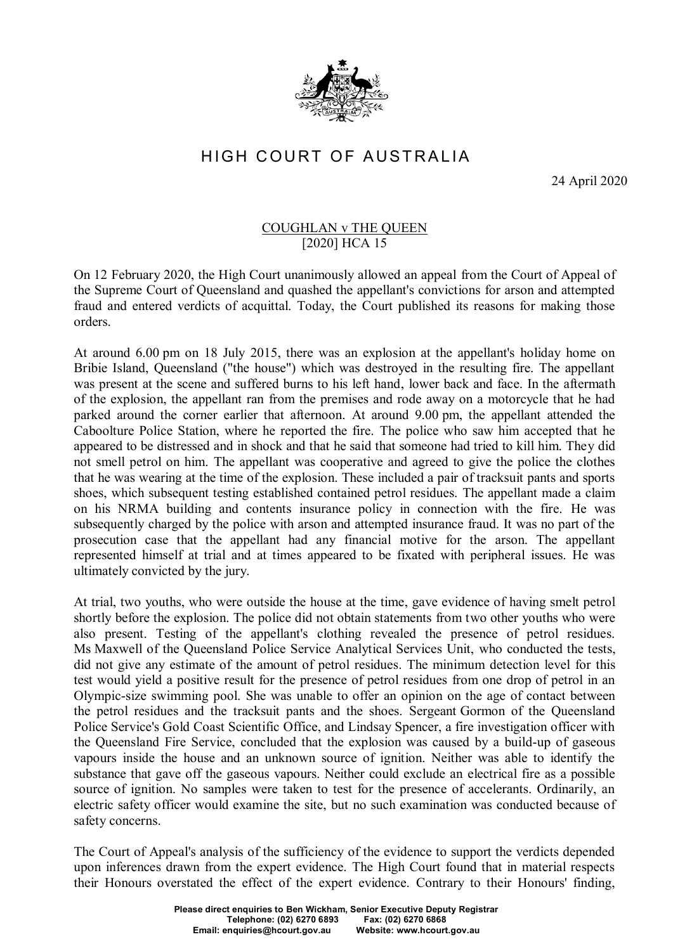

## HIGH COURT OF AUSTRALIA

24 April 2020

## COUGHLAN v THE QUEEN [2020] HCA 15

On 12 February 2020, the High Court unanimously allowed an appeal from the Court of Appeal of the Supreme Court of Queensland and quashed the appellant's convictions for arson and attempted fraud and entered verdicts of acquittal. Today, the Court published its reasons for making those orders.

At around 6.00 pm on 18 July 2015, there was an explosion at the appellant's holiday home on Bribie Island, Queensland ("the house") which was destroyed in the resulting fire. The appellant was present at the scene and suffered burns to his left hand, lower back and face. In the aftermath of the explosion, the appellant ran from the premises and rode away on a motorcycle that he had parked around the corner earlier that afternoon. At around 9.00 pm, the appellant attended the Caboolture Police Station, where he reported the fire. The police who saw him accepted that he appeared to be distressed and in shock and that he said that someone had tried to kill him. They did not smell petrol on him. The appellant was cooperative and agreed to give the police the clothes that he was wearing at the time of the explosion. These included a pair of tracksuit pants and sports shoes, which subsequent testing established contained petrol residues. The appellant made a claim on his NRMA building and contents insurance policy in connection with the fire. He was subsequently charged by the police with arson and attempted insurance fraud. It was no part of the prosecution case that the appellant had any financial motive for the arson. The appellant represented himself at trial and at times appeared to be fixated with peripheral issues. He was ultimately convicted by the jury.

At trial, two youths, who were outside the house at the time, gave evidence of having smelt petrol shortly before the explosion. The police did not obtain statements from two other youths who were also present. Testing of the appellant's clothing revealed the presence of petrol residues. Ms Maxwell of the Queensland Police Service Analytical Services Unit, who conducted the tests, did not give any estimate of the amount of petrol residues. The minimum detection level for this test would yield a positive result for the presence of petrol residues from one drop of petrol in an Olympic-size swimming pool. She was unable to offer an opinion on the age of contact between the petrol residues and the tracksuit pants and the shoes. Sergeant Gormon of the Queensland Police Service's Gold Coast Scientific Office, and Lindsay Spencer, a fire investigation officer with the Queensland Fire Service, concluded that the explosion was caused by a build-up of gaseous vapours inside the house and an unknown source of ignition. Neither was able to identify the substance that gave off the gaseous vapours. Neither could exclude an electrical fire as a possible source of ignition. No samples were taken to test for the presence of accelerants. Ordinarily, an electric safety officer would examine the site, but no such examination was conducted because of safety concerns.

The Court of Appeal's analysis of the sufficiency of the evidence to support the verdicts depended upon inferences drawn from the expert evidence. The High Court found that in material respects their Honours overstated the effect of the expert evidence. Contrary to their Honours' finding,